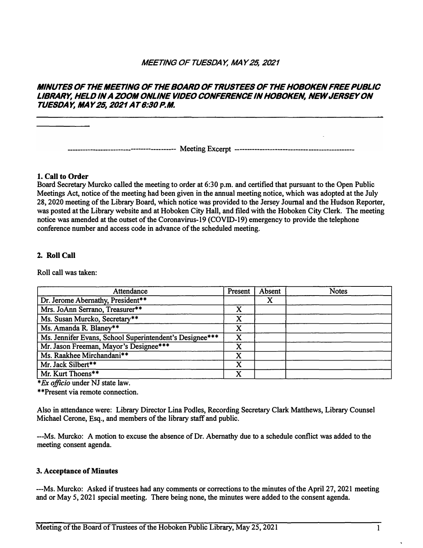## *MEETING OF TUESDAY, MAY 25, 2021*

## *MINUTES OF THE MEETING OF THE BOARD OF TRUSTEES OF THE HOBOKEN FREE PUBLIC LIBRARY, HELD IN A ZOOM ONLINE VIDEO CONFERENCE IN HOBOKEN, NEW JERSEY ON TUESDAY, MAY 25, 2021 AT 6:30 P.M.*

**----- Meeting Excerpt ---------**

## **1. Call to Order**

**Board Secretary Murcko called the meeting to order at 6:30 p.m. and certified that pursuant to the Open Public Meetings Act, notice of the meeting had been given in the annual meeting notice, which was adopted at the July 28, 2020 meeting of the Library Board, which notice was provided to the Jersey Journal and the Hudson Reporter, was posted at the Library website and at Hoboken City Hall, and filed with the Hoboken City Clerk. The meeting notice was amended at the outset of the Coronavirus-19 (COVID-19) emergency to provide the telephone conference number and access code in advance of the scheduled meeting.**

## **2. Roll Call**

**Roll call was taken:** 

| Attendance                                              | Present | Absent | <b>Notes</b> |
|---------------------------------------------------------|---------|--------|--------------|
| Dr. Jerome Abernathy, President**                       |         | X      |              |
| Mrs. JoAnn Serrano, Treasurer**                         | X       |        |              |
| Ms. Susan Murcko, Secretary**                           | X       |        |              |
| Ms. Amanda R. Blaney**                                  | X       |        |              |
| Ms. Jennifer Evans, School Superintendent's Designee*** | X       |        |              |
| Mr. Jason Freeman, Mayor's Designee***                  | X       |        |              |
| Ms. Raakhee Mirchandani**                               | X       |        |              |
| Mr. Jack Silbert**                                      | X       |        |              |
| Mr. Kurt Thoens**                                       | X       |        |              |

*\*Ex officio* **under NJ state law.**

**\*\*Present via remote connection.**

**Also in attendance were: Library Director Lina Podles, Recording Secretary Clark Matthews, Library Counsel Michael Cerone, Esq., and members of the library staff and public.** 

**---Ms. Murcko: A motion to excuse the absence of Dr. Abernathy due to a schedule conflict was added to the meeting consent agenda.** 

#### **3. Acceptance of Minutes**

**---Ms. Murcko: Asked if trustees had any comments or corrections to the minutes of the April 27, 2021 meeting and or May 5, 2021 special meeting. There being none, the minutes were added to the consent agenda.**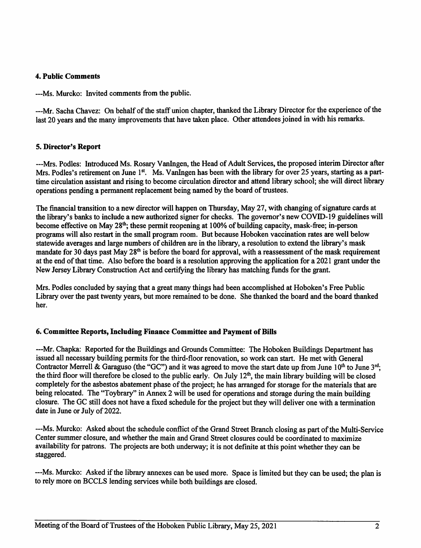### **4. Public Comments**

---Ms. Murcko: Invited comments from the public.

---Mr. Sacha Chavez: On behalf of the staff union chapter, thanked the Library Director for the experience of the last 20 years and the many improvements that have taken place. Other attendees joined in with his remarks.

## 5. Director's Report

---Mrs. Podles: Introduced Ms. Rosary VanIngen, the Head of Adult Services, the proposed interim Director after Mrs. Podles's retirement on June 1st. Ms. VanIngen has been with the library for over 25 years, starting as a parttime circulation assistant and rising to become circulation director and attend library school; she will direct library operations pending a permanent replacement being named by the board of trustees.

The financial transition to a new director will happen on Thursday, May 27, with changing of signature cards at the library's banks to include a new authorized signer for checks. The governor's new COVID-19 guidelines will become effective on May 28<sup>th</sup>; these permit reopening at 100% of building capacity, mask-free; in-person programs will also restart in the small program room. But because Hoboken vaccination rates are well below statewide averages and large numbers of children are in the library, a resolution to extend the library's mask mandate for 30 days past May 28<sup>th</sup> is before the board for approval, with a reassessment of the mask requirement at the end of that time. Also before the board is a resolution approving the application for a 2021 grant under the New Jersey Library Construction Act and certifying the library has matching funds for the grant.

Mrs. Podles concluded by saying that a great many things had been accomplished at Hoboken's Free Public Library over the past twenty years, but more remained to be done. She thanked the board and the board thanked her.

## 6. Committee Reports, Including Finance Committee and Payment of Bills

---Mr. Chapka: Reported for the Buildings and Grounds Committee: The Hoboken Buildings Department has issued all necessary building permits for the third-floor renovation, so work can start. He met with General Contractor Merrell & Garaguso (the "GC") and it was agreed to move the start date up from June 10<sup>th</sup> to June 3<sup>rd</sup>; the third floor will therefore be closed to the public early. On July 12<sup>th</sup>, the main library building will be closed completely for the asbestos abatement phase of the project; he has arranged for storage for the materials that are being relocated. The "Toybrary" in Annex 2 will be used for operations and storage during the main building closure. The GC still does not have a fixed schedule for the project but they will deliver one with a termination date in June or July of 2022.

---Ms. Murcko: Asked about the schedule conflict of the Grand Street Branch closing as part of the Multi-Service Center summer closure, and whether the main and Grand Street closures could be coordinated to maximize availability for patrons. The projects are both underway; it is not definite at this point whether they can be staggered.

---Ms. Murcko: Asked if the library annexes can be used more. Space is limited but they can be used; the plan is to rely more on BCCLS lending services while both buildings are closed.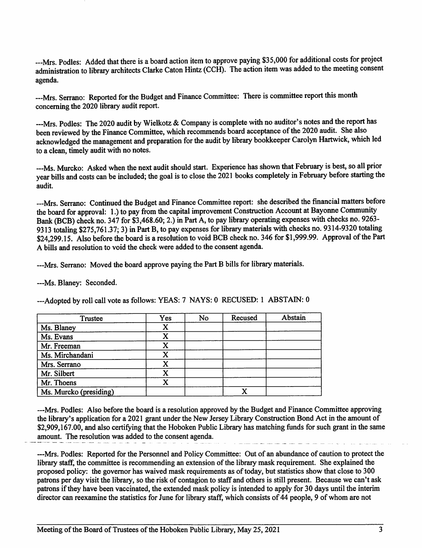---Mrs. Podles: Added that there is a board action item to approve paying \$35,000 for additional costs for project administration to library architects Clarke Caton Hintz (CCH). The action item was added to the meeting consent agenda.

---Mrs. Serrano: Reported for the Budget and Finance Committee: There is committee report this month concerning the 2020 library audit report.

---Mrs. Podles: The 2020 audit by Wielkotz & Company is complete with no auditor's notes and the report has been reviewed by the Finance Committee, which recommends board acceptance of the 2020 audit. She also acknowledged the management and preparation for the audit by library bookkeeper Carolyn Hartwick, which led to a clean, timely audit with no notes.

---Ms. Murcko: Asked when the next audit should start. Experience has shown that February is best, so all prior year bills and costs can be included; the goal is to close the 2021 books completely in February before starting the audit.

---Mrs. Serrano: Continued the Budget and Finance Committee report: she described the financial matters before the board for approval: 1.) to pay from the capital improvement Construction Account at Bayonne Community Bank (BCB) check no. 347 for \$3,468.60; 2.) in Part A, to pay library operating expenses with checks no. 9263-9313 totaling \$275,761.37; 3) in Part B, to pay expenses for library materials with checks no. 9314-9320 totaling \$24,299.15. Also before the board is a resolution to void BCB check no. 346 for \$1,999.99. Approval of the Part A bills and resolution to void the check were added to the consent agenda.

---Mrs. Serrano: Moved the board approve paying the Part B bills for library materials.

---Ms. Blaney: Seconded.

---Adopted by roll call vote as follows: YEAS: 7 NAYS: 0 RECUSED: 1 ABSTAIN: 0

| Trustee                | Yes | No | Recused | Abstain |
|------------------------|-----|----|---------|---------|
| Ms. Blaney             | x   |    |         |         |
| Ms. Evans              | x   |    |         |         |
| Mr. Freeman            |     |    |         |         |
| Ms. Mirchandani        | X   |    |         |         |
| Mrs. Serrano           |     |    |         |         |
| Mr. Silbert            |     |    |         |         |
| Mr. Thoens             |     |    |         |         |
| Ms. Murcko (presiding) |     |    |         |         |

---Mrs. Podles: Also before the board is a resolution approved by the Budget and Finance Committee approving the library's application for a 2021 grant under the New Jersey Library Construction Bond Act in the amount of \$2,909,167.00, and also certifying that the Hoboken Public Library has matching funds for such grant in the same amount. The resolution was added to the consent agenda.

---Mrs. Podles: Reported for the Personnel and Policy Committee: Out of an abundance of caution to protect the library staff, the committee is recommending an extension of the library mask requirement. She explained the proposed policy: the governor has waived mask requirements as of today, but statistics show that close to 300 patrons per day visit the library, so the risk of contagion to staff and others is still present. Because we can't ask patrons if they have been vaccinated, the extended mask policy is intended to apply for 30 days until the interim director can reexamine the statistics for June for library staff, which consists of 44 people, 9 of whom are not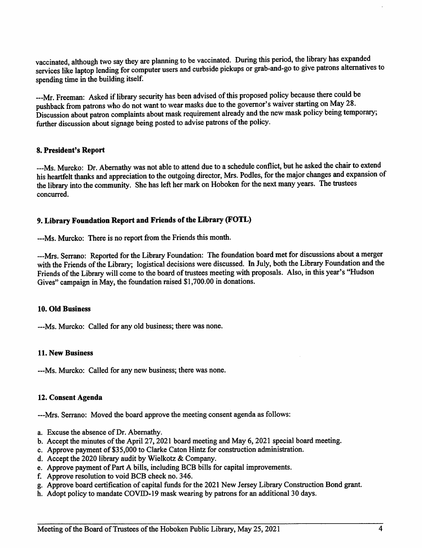vaccinated, although two say they are planning to be vaccinated. During this period, the library has expanded services like laptop lending for computer users and curbside pickups or grab-and-go to give patrons alternatives to spending time in the building itself.

---Mr. Freeman: Asked if library security has been advised of this proposed policy because there could be pushback from patrons who do not want to wear masks due to the governor's waiver starting on May 28. Discussion about patron complaints about mask requirement already and the new mask policy being temporary; further discussion about signage being posted to advise patrons of the policy.

## 8. President's Report

---Ms. Murcko: Dr. Abernathy was not able to attend due to a schedule conflict, but he asked the chair to extend his heartfelt thanks and appreciation to the outgoing director, Mrs. Podles, for the major changes and expansion of the library into the community. She has left her mark on Hoboken for the next many years. The trustees concurred.

# 9. Library Foundation Report and Friends of the Library (FOTL)

---Ms. Murcko: There is no report from the Friends this month.

---Mrs. Serrano: Reported for the Library Foundation: The foundation board met for discussions about a merger with the Friends of the Library; logistical decisions were discussed. In July, both the Library Foundation and the Friends of the Library will come to the board of trustees meeting with proposals. Also, in this year's "Hudson Gives" campaign in May, the foundation raised \$1,700.00 in donations.

#### 10. Old Business

---Ms. Murcko: Called for any old business; there was none.

#### 11. New Business

---Ms. Murcko: Called for any new business; there was none.

#### 12. Consent Agenda

---Mrs. Serrano: Moved the board approve the meeting consent agenda as follows:

- a. Excuse the absence of Dr. Abernathy.
- b. Accept the minutes of the April 27, 2021 board meeting and May 6, 2021 special board meeting.
- c. Approve payment of \$35,000 to Clarke Caton Hintz for construction administration.
- d. Accept the 2020 library audit by Wielkotz & Company.
- e. Approve payment of Part A bills, including BCB bills for capital improvements.
- f. Approve resolution to void BCB check no. 346.
- g. Approve board certification of capital funds for the 2021 New Jersey Library Construction Bond grant.
- h. Adopt policy to mandate COVID-19 mask wearing by patrons for an additional 30 days.